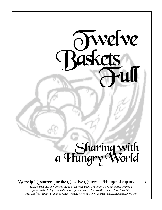# Sharing with a Hungry World

Twelve

Full

Baskets

Worship Resources for the Creative Church--Hunger Emphasis 2009

Sacred Seasons*, a quarterly series of worship packets with a peace and justice emphasis, from Seeds of Hope Publishers: 602 James; Waco, TX 76706; Phone: 254/755-7745; Fax: 254/753-1909; E-mail: seedseditor@clearwire.net; Web address: www.seedspublishers.org.*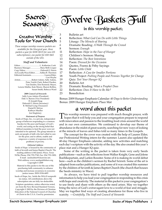### Sacred Seasons:

#### Creative Worship Tools for Your Church

*These unique worship resource packets are available for the liturgical year, three packets a year for \$100 (\$125 for non-US subscriptions), one packet for \$50 (\$65 outside of the US).*

#### *Staff and Volunteers*

| Business ManagerMary Beth Cooper           |                                    |
|--------------------------------------------|------------------------------------|
| Copy EditorDeborah E. Harris               |                                    |
| Act Locally Waco EditorAshley B. Thornton  |                                    |
| Editorial AssistantsLauren Elder,          |                                    |
|                                            | Cori Weyhe                         |
| ArtistsRobert Askins, Sally Askins,        |                                    |
|                                            | Peter Yuichi Clark, Robert Darden, |
|                                            | Van Darden, Erin Kennedy Mayer,    |
| Lenora Mathis, Kate Moore, Sharon Rollins, |                                    |
|                                            | Susan Smith, Rebecca Ward          |

*2009 Council of Stewards* Sally Lynn Askins (President) Dale A. Barron (Vice President) H. Joseph Haag Deborah E. Harris (Secretary) B. Michael Long (Treasurer) Daniel B. McGee Kathryn Mueller Jon Singletary

#### *Statement of Purpose*

Seeds of Hope, Inc., is a private, independent group of believers responding to a common burden for the poor and hungry of God's world, and acting on the strong belief that biblical mandates to feed the poor were not intended to be optional. The group intends to seek out people of faith who feel called to care for the poor; and to affirm, enable and empower a variety of responses to the problems of poverty.

#### *Editorial Address*

Seeds of Hope is housed by the community of faith at Seventh and James Baptist Church. The mailing address is 602 James; Waco, Texas 76706; Phone: 254/755-7745; Fax: 254/753-1909; E-mail: seedseditor@clearwire.net. Web address: www.seedspublishers.org Copyright © 2009 Material in this packet is for the use of the

purchasing faith community to enhance worship and increase awareness in economic justice issues. ISSN 0194-4495

Seeds of Hope, Inc., holds the 501(c)3 nonprofit tax status. All contributions above the subscription rate are fully tax-deductible.

Scripture quotations, unless otherwise noted, are from the New Revised Standard Version, Copyright © 2003 by the Division of Christian Education of the National Council of Churches of Christ in the U.S.A. Used by permission.

# Twelve Baskets Full

#### in this worship packet:

- 3 Bulletin art
- 4 Reflection: *What God Can Do with Little Things*
- 5 Liturgy: *The Miracle of Sharing*
- *6* Dramatic Reading: *A Walk Through the Crowd*
- 8 Sermon: *Enough*
- 11 Reflection: *Hope in the Face of Hunger*
- 12 Children's Sermon: Sharing
- 13 Reflection: *The Best Intentions*
- 14 Poem: *Dressed for the Occasion*
- 15 Quotes, Poems & Pithy Sayings
- 16 Poem: *Little Child*
- 17 Reflection: *A Case for Smaller Portions*
- 18 Youth Project: *Putting People and Pennies Together for Change*
- 19 Quiz: *Test Your Hunger IQ*
- 20 Bulletin Art
- 21 Dramatic Reading: *What a Prophet Does*
- 22 Reflection: *Does It Have to Be Me?*
- 23 Benediction

Bonus: 2009 Hunger Emphasis Calendar: *40 Daysto Better Understanding* Bonus: 2009 Hunger Emphasis Place Mat

### a word about this packet

This worship resource was prepared with much thought prayer, with hopes that it will help you and your congregation prepare to respond with innovation and passion to the troubling food crisis around the world and in our own communities. We continued to develop our theme of abundance in the midst of great scarcity, searching for new ways of looking at the miracle of loaves and fishes told so many times in the Gospels.

The concept for the cover was created with the help of Lauren Elder, our Professional Writing intern for the summer. Lauren also updated the 40-day Hunger Emphasis calendar, adding new activities and matching each day's scripture with the activity of the day. She also created this year's place mat and a Hunger IQ quiz.

Some of the writing in the packet is taken from very early Seeds publications—such as the reflections from Walker Knight, Gene and Jolene Roehlkepartain, and Larkin Rossiter. Some of it is making its world debut here—such as the children's sermon by Rachel Scirreti. Some of the art is adapted from earlier publications, and some of it was created this summer by the children of Seventh & James Baptist Church (the church that houses the Seeds ministry in Waco).

As always, we have tried to pull together worship resources and information to help you lead your congregation in responding to this crisis with hope and creativity. The material in this packet is your congregation's to use freely and share with others as the need arises. May we together bring the news of God's extravagant love to a world of fear and struggle. May we together find ways of creating abundance for those who live in scarcity. —*Gratefully, The Staff and Council of Stewards*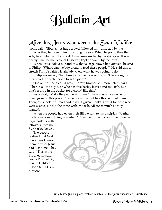# Bulletin Art

## After this, Jesus went across the Sea of Galilee

(some call it Tiberias). A huge crowd followed him, attracted by the miracles they had seen him do among the sick. When he got to the other side, he climbed a hill and sat down, surrounded by his disciples. It was nearly time for the Feast of Passover, kept annually by the Jews.

When Jesus looked out and saw that a large crowd had arrived, he said to Philip, "Where can we buy bread to feed these people?" He said this to stretch Philip's faith. He already knew what he was going to do.

Philip answered, "Two hundred silver pieces wouldn't be enough to buy bread for each person to get a piece."

One of the disciples—it was Andrew, brother to Simon Peter—said, "There's a little boy here who has five barley loaves and two fish. But that's a drop in the bucket for a crowd like this."

Jesus said, "Make the people sit down." There was a nice carpet of green grass in this place. They sat down, about five thousand of them. Then Jesus took the bread and, having given thanks, gave it to those who were seated. He did the same with the fish. All ate as much as they wanted.

When the people had eaten their fill, he said to his disciples, "Gather the leftovers so nothing is wasted." They went to work and filled twelve large baskets with

leftovers from the five barley loaves.

The people realized that God was at work among them in what Jesus had just done. They said, "This is the Prophet for sure, God's Prophet right here in Galilee!" —John 6: 1-14, *The Message*



art adapted from a piece by Hermanoléon of the  $\widetilde{\mathcal{F}}$ ranciscanos de Cruzblanca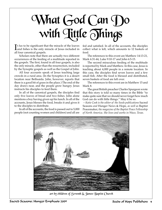# What God Can Do with Little Things

It *has* to be significant that the miracle of the loaves<br>and fishes is the only miracle of Jesus included in and fishes is the only miracle of Jesus included in all four canonical gospels.

Scholars note that there are actually two different occurrences of the feeding of a multitude reported in the gospels. The first, found in all four gospels, is also the only miracle, other than the resurrection, included by the Synoptic gospels as well as the Gospel of John.

All four accounts speak of Jesus teaching large crowds in a rural area. (In the Synoptics it is a desert location near Bethsaida. John, however, reports that there is a good bit of grass in the place.) The end of the day draws near, and the people grow hungry. Jesus instructs his disciples to feed them.

In all of the canonical gospels, the disciples find only five loaves of bread and two fishes. John alone mentions a boy having given up his lunch. In all of the accounts, Jesus blesses the food, breaks it and gives it to the disciples to distribute.

In all of the accounts, the food is passed out to 5,000 people (not counting women and children) and all are fed and satisfied. In all of the accounts, the disciples collect what is left, which amounts to 12 baskets of food.

The references to this event are Matthew 14:13-21, Mark 6:31-44, Luke 9:10-17 and John 6:5-15.

The second miraculous feeding of the multitude is reported by Mark and Matthew. In this case, Jesus is teaching about 4,000 people in a remote location. In this case, the disciples find seven loaves and a few small fish. After the food is blessed and distributed, seven baskets of food are left over.

The references to this event are in Matthew 15 and Mark 8.

The great British preacher Charles Spurgeon wrote that this story is told so many times in the Bible "to make quite sure that we should never forget how much God can do with little things." May it be so.

*—Katie Cook is the editor of the Seeds publications* Sacred Seasons *and* Hunger News & Hope, *as well as* Baptist Peacemaker, *the magazine of the Baptist Peace Fellowship of North America. She lives and works in Waco, Texas.*



art by children of Seventh & James Baptist Church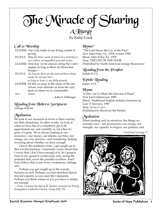# The Miracle of Sharing

A Liturgy by Katie Cook

Call to Worship

LEADER: Our God, make of our living a habit of giving.

- *PEOPLE: May the basic needs of others be a priority in our culture of magnified personal wants.*
- LEADER: And may we be uneasy eating the Lord's supper as long as there are those that hunger—
- *PEOPLE: As long as there are the least of these whose needs are not yet met as long as Jesus is not fully present.*
- LEADER: All this we pray in the name of the one whose voice disturbs us from the very back of where we're comfortable.

*ALL: Amen.*

—John S. Ballenger

### Reading from Hebrew Scriptures

2 Kings 4:42-44

#### Meditation

We look at our resources in terms of their scarcity, not their abundance. In other words, we look at what we have like it's a blueberry pie to be apportioned out, and carefully so, for when it's gone, it's gone. We're always looking at our resources—our money, our talents, our time, our energy, our very persons—and wondering, fretting, worrying about whether we have enough.

I know this tendency exists. I get caught up in this scarcity business. I constantly worry about time. I worry that I don't have enough of it. So I grasp it close to me, guard it vociferously, only seeing the potential lack, never the possible overflow. And I truly believe this is one of my weaknesses, failings, sins.

Perhaps you get caught up in the scarcity business as well. Perhaps you feel stretched almost beyond capacity as you meet life's demands. Perhaps you think whatever it is you have is simply not enough.

*—From a sermon by Nancy R. Easton, minister at Trinity Evangelical Lutheran Church, Camp Hill, PA*

#### Hymn\*

"The Lord Hears the Cry of the Poor" Text: John Foley, S.J., 1978, revised 1990 Music: John Foley, S.J., 1978 Tune: THE CRY OF THE POOR (Published by North American Liturgy Resources)

### Reading from the Prophet

Isaiah 61:1-4

### Epistle Reading

James 5:1-6

#### Hymn

"Come, Let Us Share the Harvest of Peace" Text: Joel Underwood, 1990 Music: Traditional English melody; harmony by Gary P. Davison, 1990 Tune: SUSSEX CAROL (Published by Bread for the World)

#### Meditation

When trusting only in ourselves, the things we consider ours—our possessions, our energy, our strength, our capacity to forgive, our patience and

*(continued on page 7)*

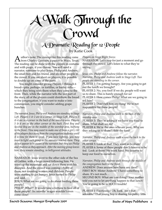# AWalk Through the Crowd

### A Dramatic Reading for 12 People

by Katie Cook

Author's note: The concept for this reading came<br>from Charley Garrison, a pastor in Waco, Texas. The reading can be done with the players in costume and with props, if you choose. You will need a narrator, someone to play Jesus, Philip and Andrew, the small boy and his friend, and six other people in the crowd. If you are short on players, it is possible to double up on some of the parts.

You might consider giving Players 1 through 6 bread—pita, perhaps, or tortillas, or barley rolls which they bring with them when they come to the front. Then, while the narrator tells the last part of the story, all of the players could distribute the bread to the congregation. If you want to make it into communion, you might consider adding grape bunches.

*The narrator,Jesus, Philip and Andrew arestanding to Stage Left. Players 1 & 2 are in a corner on Stage Left. Players 3 & 4 are in a corner in the back of the worship area. Players 5 & 6 are in the other corner at the back. First Boy and Second Boy are in the middle of the worship area, halfway to the front. (You may want to make one of these a girl.) All ofthe playersface away from the congregation/audience until it is time for them to speak. If you have lighting, you may want to light each group as the narrator reaches them. They do not appear to be aware of the narrator, but they see Philip and Andrew asthey approach. Afterthe moving group leaves him, they remain standing, in belligerent attitudes.*

NARRATOR: Jesus went to the other side of the Sea of Galilee, with a large crowd following him. He went up the mountain and sat down there with his disciples. And the crowd was coming—5,000 of them, not counting women and children. People were starting to get hungry. Jesus turned to Philip and said,

JESUS: What are we going to do about feeding these people?

PHILIP: What?! It would take a fortune to feed all of these people! Six months' wages wouldn't even come close!

*Players on Stage Right freeze.*

NARRATOR: Let's stop for just a moment and go through the crowd. Let's listen to what they're saying.

J*esus sits. Philip and Andrew follow the narrator. Narrator, Philip and Andrew walk to Stage Left. Two people are standing in the corner.*

PLAYER 1: I'm getting hungry. Are you going to get out the lunch we brought?

PLAYER 2: No, you fool! If we do, people will want us to share. This is barely enough for us!

PLAYER 1: Here comes Philip! What are we going to tell him?

PLAYER 2: Don't tell him anything! We're not responsible for these people!

#### *Narrator, Philip and Andrew walk to the back of the worship area.*

PLAYER 3: They're asking if we have any food to share. What shall we do? PLAYER 4: We're the ones who are poor. Why are they asking us to share? Hide the food!

#### *Narrator, Philip and Andrew walk across the back to the other corner.*

PLAYER 5: Look at that! They want us to share! PLAYER 6: Some of these people don't deserve to be fed. Look at them! We work hard. We deserve to keep our food to ourselves.

#### *Narrator, Philip and Andrew walk through the middle of the congregation back to the front.*

ANDREW: Does anyone here have any food? FIRST BOY: Mister Andrew? I have something to share. It's not much…

SECOND BOY: What are you doing? Your mother told you not to let anything happen to that lunch! You're going to be in SUCH trouble!

PLAYER 1 *(Facetiously)*: Oh, look. Isn't that adorable? That young boy is sharing his paltry little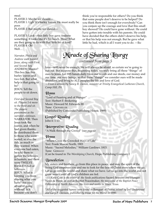meal.

PLAYER 2: Maybe we should— PLAYER 1: Ugh! It's barley loaves. He must really be poor. PLAYER 2: But maybe we should—

PLAYER 3: Look—that little boy gave Andrew something. It looks like it's his lunch. Wow! What are they going to do with that little bit of food? PLAYER 4: Oh! Well…

think you're responsible for others? Do you think that some people don't deserve to be helped? Do you think there isn't enough for everybody? Can you conjure up the courage and love that this small boy showed? He could have gone without. He could have gotten into trouble with his parents. He could have decided that the others didn't deserve his help, or that his help was not enough. But he gave what little he had, which is all I want you to do. —lkc

*Narrator, Philip and Andrew walk toward Jesus, along with First and Second Boy.* ANDREW: Master? This boy has five barley loaves and two fish. But what help is that going to be? JESUS: Tell the people to sit down.

*First and Second Boy sit. Players 1-6 move to the front and sit. The players pantomime as the narrator continues.* NARRATOR: Then Jesus took the loaves, and when he had given thanks, he distributed them to those who were seated; so also the fish, as much as they wanted. When everyone had eaten, he told them to gather the leftovers in baskets, and there were TWELVE BASKETS full of leftovers. JESUS: What is keeping you from sharing what you have? Are you afraid of going without? Is it because you don't

### Miracle of Sharing Liturgy *continued from page 5*

love—will never be enough. We will always be afraid, so certain we're going to run out. But suppose that, beginning today, we truly bring all these "things" of ours to Jesus. Let HIS hands daily bless our words and our deeds, our money and our time, our very beings, so that these "things" we consider ours will be made abundant, and bring to ALL peoples the life and love of God. *—From a sermon by Nancy R. Easton, minister at Trinity Evangelical Lutheran Church, Camp Hill, PA*

Hymn

"Lord of Feasting and of Hunger" Text: Herbert F. Brokering Music: Howard M. Edwards III Tune: CRONMILLER (Published by Concordia Publishing House, 1989)

#### Gospel Reading John 6: 1-13

#### Interpretive Reading

"A Walk through the Crowd" (see *page 6)*

#### Hymn

"Where Cross the Crowded Ways of Life" Text: Frank Mason North, 1903 Music: "Sacred Melodies," William Gardiner, 1815 Tune: GERMANY (Can be found in *The Worshiping Church*, Hope Publishing Company)

#### Benediction

My sisters and brothers, go from this place in peace, and may the spirit of the living God empower you and me to look for the face of Christ everywhere we go. Let us go into the world and share what we have. Let us go into the world and not grow weary until all God's children are fed.

—*—Katie Cook is the editor of the Seeds publications* Sacred Seasons *and* Hunger News & Hope, *as well as* Baptist Peacemaker, *the magazine of the Baptist Peace Fellowship of North America. She lives and works in Waco, Texas.*

*\*All of the suggested hymns were found in* Banquet of Praise*, edited by Joel Underwood and Gary P. Davison, published by Bread for the World in 1990.*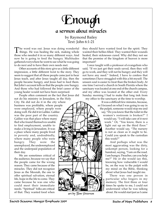## Enough a sermon about miracles by Raymond Bailey

Text: John 6:1-21

The word was out. Jesus was doing wonderful<br>things. He was healing the sick, making whole those who needed it in so many different ways. And now he is going to feed the hungry. Multitudes gathered everywhere he went to see what he was going to do next and to have their own needs met.

Other accounts of this story give us a little different impression, a little different twist to the story. They seem to suggest that all these people came just to hear Jesus teach, and after Jesus taught all day, then the people became hungry, and Jesus had to feed them. But John's account tells us that the people *came* hungry. And those who had followed the brief career of the young healer would not have been surprised.

People often comment on the fact that Jesus did not do his ministry in Jerusalem, in the Holy

City. He did not do it in the city where business was profitable, where people were employed, where people were doing well. He did it in Galilee. Galilee was the poor part of the country. Galilee was that place where many fled who found themselves unable to find employment, unable to make a living in Jerusalem. It was a place where many people lived in poverty and, undoubtedly, where many people who were hungry. They were the unemployed, the underemployed and the underpaid population of their day.

We are sometimes critical of the audience, because we say that the people came for the wrong reason. They came because of the miracles. They did not recognize Jesus as the Messiah, the one to offer spiritual salvation, eternal life, hope in the life to come. They came because he was one who could meet their immediate needs. "Spiritual" folks are critical of that. They wanted food when

they should have wanted food for the spirit. They wanted their bellies filled. They wanted their wounds healed, their sicknesses cured. Why did they not see that the promise of the kingdom of heaven is more important?

I once taught with a professor of evangelism who said, "If we just get their souls saved, then they will go to work, and they will not be hungry and they will not have any need." Indeed, I have to confess that sometimes I have struggled with this a bit myself. The unseen soul is easier to treat than the broken body. At one time I served a church in South Florida where the sanctuary was located at one end of the church campus, and my office was located at the other end. Every Sunday morning I had to make that long trek from my office to the sanctuary at the time to worship.



It was a difficult few minutes, because, as I focused on what I was going to say in the pulpit, someone would stop me and say, "Do you know that the toilet in the women's restroom is broken?" I would say, "I will take care of it next week." Or, "You know, there is a light out up on the third floor." Another would say, "The nursery is not as clean as it ought to be. Could you speak to the custodian this week?"

And perhaps what was the most aggravating was the dirty, unkempt person, looking for a handout, saying, "I am on the road. I am hungry. Preacher, can you help me?" He or she would say this, knowing how vulnerable I would be, on the way to the pulpit with my mind on the Bible, thinking about what Jesus had taught me.

There was one person in particular who lingers in my memory. The first three or four times he spoke to me, I could not understand what he was talking art by  $\overline{0}$ om Peterson about. He would start just as I came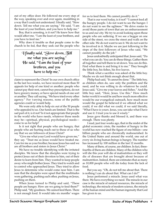out of my office door. He followed me every step of the way, speaking over and over again, mumbling in a way that I could not understand. I finally said, "Slow down. Tell me what you are saying." He said, "I am the least of your brethren, and you have to help me."

Boy, that is arresting, is it not? He knew how that would affect me. "I am the least of your brethren, and you have to feed me."

Why does it trouble us that people come to the church to be fed, that they seek out the people who

> I finally said, "Slow down. Tell me what you are saying." He said, "I am the least of your brethren, and you have to help me."

claim to represent the Christ? In our own church office in the last two weeks, we have received more than 50 appeals for help of one kind or another: people who cannot pay their rent, cannot buy prescriptions, do not have grocery money, or have special needs of one sort or another. They call saying, "We have tried every other agency." For varying reasons, none of the public agencies could or would help.

We were only able to help six out of the 50 people who appealed to us. Our funds are limited. That is the sad part of it, is it not? Is it not appropriate that people in the world who have needs, whatever those needs may be—spiritual, physical, psychological needs come to us for help?

Is it not right that people who are hungry, that people who are hurting reach out to those of us who say that we are followers of Jesus Christ?

"Give me what your Lord would have given me," they say. "Treat me as Jesus would have treated me. Care for me as your brother, because Jesus has said we are all brothers and sisters in Jesus Christ."

We have no trouble identifying with the irritated disciples. We know that the disciples were trying to protect Jesus out of their devotion to him, out of their desire to learn from him. They wanted to keep people away who might bother Jesus. They tried to watch and to control who approached Jesus. They tried to allow Jesus to determine who would come near him. I am sure that the disciples were upset that the multitudes were gathering, pushing each other, pushing on Jesus, pushing on them.

When Jesus turned to Philip and said, "These people are hungry. How are we going to feed them?" Philip said, "My goodness. We cannot feed them. There is not enough food. It would take six months' wages for us to feed them. We cannot possibly do it."

That is our word today, is it not? "I cannot feed all the hungry people. I do not want to see the hunger. I do not want to see the ugliness." We drive routes to avoid those parts of town that are an embarrassment to us and our city. We try to avoid looking upon those people who are suffering. If we see a beggar on one side of the street, we cross the street and walk on the other side. We do not want to see it. We do not want to be involved in it. Maybe we are just following in the steps of the first followers of Jesus who said, "We cannot possibly do the job."

Jesus undoubtedly anticipated that.Jesus said, "Do what you can do. You can do these things. Gather them all together and tell them to sit down. You can do this. Find what there is and bring it to me." They brought the little boy, his fishes, his five loaves.

Think what a sacrifice was asked of the little boy. Maybe we do not think enough about that.

Philip had said, "It cannot be done." The little boy, as children often do, saw only the problem and the need, and he was willing to do whatever he could. Jesus said, "Give me your loaves and fishes." And the little boy said, "Here, Jesus. Use this." How much better world it would be and how much more effective would be our evangelical outreach, how much more would the gospel be believed if we offered what we could, if we did what we could, if we said literally, "What I have is yours. Jesus, you can take what I have and use it. I trust you to use it wisely."

Jesus gave thanks and blessed it, and there was enough. There was plenty.

I read, just four weeks ago, that in the midst of the global economic crisis, the number of hungry in the world has now reached the figure of one billion—one billion people who are chronically malnourished. In the United States and around the world, one out of every six living human beings is hungry. The number has increased by 100 million in the last 12 months.

Many of them, of course, are children. In fact, threefourths of them are children. Many of the children who will die this year will die of malnutrition or they will die of diseases that are brought about because of malnutrition. Indeed, there are estimates that as many as 10,000 people who will die today from the lack of food.

But you say, "Oh, do not tell me about that. There is nothing I can do about that. What can I do?"

Jesus performed a miracle. Jesus used what was there. We have everything we need. The miracle in our case is the miracle of natural resources, the miracle of technology, the miracle of modern science, the miracle of the human mind and the human ingenuity that God has given to us.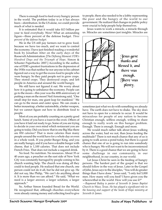There is enough food to feed every hungry person in the world. The problem today is as it has always been—distribution. In the US alone, we could provide much of what is needed.

It is estimated that it would take \$13 billion per year to feed everybody. Wow! What an astounding figure—three percent of the defense budget. *Three percent of the defense budget.*

We in the US still pay farmers not to grow food, because we have too much, and we want to control the economy. I have just finished reading a wonderful book by Jonathan Alter on the early days of the RooseveltAdministration.[*The Defining Moment: FDR's Hundred Days and the Triumph of Hope,* Simon & Schuster Paperbacks: 2007.] According to the author, one of FDR's greatest frustrations in the depression of the 1930s was that neither he nor anyone in his cabinet figured out a way to get the excess food to people who were hungry. So they paid people not to grow crops. They stored crops. They destroyed crops, and left people in America and around the world hungry.

We still have not figured it out. We worry about how it is going to unbalance the economy. People can go to the moon—this year was the 40th anniversary of putting a man on the moon! NeilArmstrong said, "One small step for man, one giant leap for mankind." We can go to the moon and outer space. We can create a better mousetrap, a better automobile, a better weapon, but we cannot figure out how to distribute food to people.

Most of you are probably counting on a pretty good lunch. Some of you have a roast in the oven. Others of you have it laid out ready to go. Some of you are trying to decide in your own mind which restaurant you are going to today. Did you know that in one Big Mac there are 850 calories? That is more calories than many people around the world have for a whole day or even in a whole week. If you prefer Burger King, and you are really hungry, and if you have a double burger with cheese, that is 1,100 calories. That does not include French Fries. That does not include a sugared drink.

No food. No nutrition. No resources. About 35 or 40 years ago, a preacher on the east side of New York City was constantly barraged by people coming to his church wanting help. The church was doing all they could to feed people. He realized that one church, one person could not do it all, but he did not give up. He did not say, like Philip, "We can't do anything about it. It is more than we can afford." He said, "What we need is a larger answer, a larger solution, a larger approach."

So, Arthur Simon founded Bread for the World. He recognized that, although churches everywhere were already raising money and collecting food to give

to people, there also needed to be a lobby representing the poor and the hungry of the world to our government. He realized that changes in public policy were crucial to help people help themselves.

Jesus wants to work a miracle, a miracle through us. Miracles are sometimes just insights. Miracles are



sometimes just what we do with something we already have. The earth does not have to shake. The sky does not have to open for a miracle to occur. It would be miraculous for people of any nation to become Christian enough, selfless enough, willing to share enough to really work on this hunger problem. Enough. There is enough. Enough and more.

We would much rather talk about Jesus walking across the water, had we not, than Jesus feeding the multitude? There is not much chance that any of us is going to walk across a pond today, but there is a good chance that one of us is going to run into somebody who is hungry. We will not want to be inconvenienced by it. There is a good chance that we are going to have some challenge in our community, in our neighborhood, in our country, in our world.

Let Jesus Christ be seen in the feeding of hungry persons. The hardest part of the gospel is that we should follow in the way of Jesus. Later in the Gospel of John, Jesus says to the disciples, "You will do greater things than I have done." Jesus said, "I only fed 5,000 men. How many will you feed? I have given you the wherewithal in the world. How will you use it?"

*—Raymond Bailey is pastor of Seventh & James Baptist Church in Waco, Texas. He has played a significant role in the housing and support of the Seeds of Hope ministry at Seventh & James.*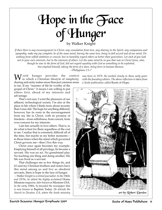# Hope in the Face of Hunger by Walker Knight

*If then there is any encouragement in Christ, any consolation from love, any sharing in the Spirit, any compassion and sympathy, make my joy complete: be of the same mind, having the same love, being in full accord and of one mind. Do nothing from selfish ambition or conceit, but in humility regard others as better than yourselves. Let each of you look not to your own interests, but to the interests of others. Let the same mind be in you that was in Christ Jesus, who, though he was in the form of God, did not regard equality with God as something to be exploited, but emptied himself, taking the form of a slave, being born in human likeness. --Philippians 2:1-7*

 $\overline{J}$  orld hunger provides the context  $\mathsf{V}$  in which a Christian lifestyle of simplicity, sharing and unity makes more than just common sense

to me. If my "manner of life be worthy of the gospel of Christ," it means I am willing to put others first, ahead of my interests and advantage.

That's not easy. I want the pleasures of our affluent, technological society. I'm also at the place in life where I think more about security than I once did. The hope for anything different, however, has its roots in the encouragement from my life in Christ, with its promise of freedom—from selfishness, from conceit, from over-concern for my interests.

I am free actually to love others. That is, to do what is best for them regardless of the cost to me. I realize that is extremely difficult all of the time, but maybe in my better moments in those times when the mind which governed Christ governs me—then I live this way.

Christ once again becomes my example. Emptying himself of all privilege, he became a servant. His was no act. No grandstand play. No teaching one thing and doing another. His life was lived as a servant.

That challenges me as few things do, and if I and my Christian brothers and sisters have this mind among us and live as obedient servants, there is hope in the face of hunger.

*—Walker Knight is a retired journalist. In the 1960s and 1970s, he edited the highly acclaimed* Home Missions *magazine, later known as* Missions USA*. In the early 1980s, he founded the newspaper that is now known as* Baptists Today*. He attends the church in Decatur, GA, where the Seeds ministry* *was born in 1979. He worked closely in those early years with thefounding editors. The abovereflection istaken from a Seeds publication called* Roots of Hope.

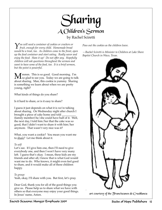

*You will need a container of cookies or crackers or fruit, enough for every child. Homemade bread would be a treat, too. As children come to the front, open up the food container and start eating. Really savor and enjoy the food. Ham it up! Do not offer any. Hopefully children will ask questions throughout the sermon and want to have some of the food, too. It is a brief sermon, but the point is powerful.*

**M** mmm. This is so good. Good morning. I'm<br>so glad to see you. Today we are going to talk about sharing. Man, this cookie is yummy. Sharing is something we learn about when we are pretty young, right?

What kinds of things do you share?

Is it hard to share, or is it easy to share?

I guess it just depends on what it is we're talking about sharing. On Wednesday night after church I brought a piece of cake home and told (family member) he/she could have half of it. Well, the next day, I told him/her that the cake was so good, that I didn't want to share it with him/her anymore. That wasn't very nice was it?

What, you want a cookie? You mean you want me to share? Let me think about it.

#### *To self:*

Let's see. If I give him one, then I'll need to give everybody one, and then I won't have very many left. I guess that's okay. I mean, these kids are my friends and after all, I know that is what God would want me to do. Who knows, it might even feel good to share, and it would make all of these children happy.

*To group:*

Yeah, okay, I'll share with you. But first, let's pray.

Dear God, thank you for all of the good things you give us. Please help us to share what we have with others so that everyone may enjoy your good things. In Jesus' name, Amen.

*Pass out the cookies as the children leave.*

*—Rachel Sciretti is Minister to Children at Lake Shore Baptist Church in Waco, Texas.*



art courtesy of the Franciscanos de Cruzblanca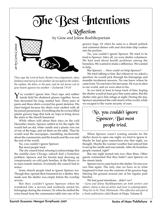# The Best Intentions

## A Reflection

by Gene and Jolene Roehlkepartain



*Thus says the Lord of hosts: Render true judgements, show kindness and mercy to one another; do not oppressthe widow, the orphan, the alien, or the poor; and do not devise evil in your hearts against one another. --Zechariah 7:9-10*

You couldn't ignore him. Duct tape and rubber bands held his shattered glasses together. Seven hats decorated his long, matted hair. Three pairs of pants and three shirts covered his gaunt skeleton. His chest bulged because his shirts were stuffed with all his prized possessions. Everything else he owned filled plastic grocery bags that took six trips to bring down the stairs to the church basement.

While others told about their days on the cold December streets, Spencer settled in for the night. He would fish an old, white candle and a plastic rose out of one of the bags, and set them on the table. Then he would read the newspaper, mumbling incoherently about the communists and the Israelis and the war and the end of the world.

No, you couldn't ignore Spencer.

But most people tried.

The city council tried, refusing to acknowledge that the middle-class Chicago suburb had a homeless problem. Spencer and his friends kept showing up conspicuously on cold park benches, in the library or in mass transit stations. Eventually the council had to notice.

Some church people tried to ignore Spencer too. Though they opened their basement for a shelter, they made sure the shelter was empty before the worship service.

But they couldn't ignore Spencer when he wandered into a service and restlessly sorted his belongings during the sermon. Or when he stuffed the extra bread from the communion table into one of his

grocery bags. Or when he came to a church potluck and crammed dinner rolls and chocolate-chip cookies into his pockets.

No, you couldn't ignore Spencer. We tried to be kind to Spencer. After all, we were shelter volunteers. We had read about health problems among the homeless. We wanted to make a difference. We wanted to help.

But Spencer…. How could we help Spencer?

We tried talking to him. But whenever we asked a question, he would pick through his belongings and mumble incoherent answers. No one knew where he came from. No one knew his last name. He was an alien to our world, and we were alien to his.

So we tried at least to keep track of him, hoping the shelter would at least give him some safety. But the shelter only gave him refuge at night. During the day, Spencer meandered the cold streets of his world, while we escaped to the warm security of ours.

### No, you couldn't ignore Spencer. But most people tried.

When Spencer wasn't waiting outside for the shelter doors to open one night, we tried to ignore it. Maybe he had gone somewhere else that night, we thought. Maybe the warmer weather had enticed him to set up his candle and rose outside.After all, homeless people roamed, right?

But one night turned into two, then three. Other guests commented that they hadn't seen Spencer on the streets lately.

Spencer never came back to the shelter. No one ever saw him again. The only clue we have as to what happened to him was the contents of his grocery bags littering the ground around one of his regular park benches.

We had good intentions... didn't we? *—Gene and Jolene Roehlkepartain are both writers and editors. Jolene is also an artist, and Gene is a photographer. They live in St. Paul, Minnesota. This reflection was part of a Seeds publication called* Roots of Hope, Volume II.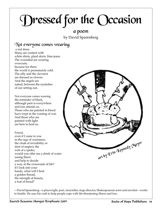# Dressed for the Occasion

### a poem by David Sparenberg

### Not everyone comes wearing

 a red dress. Many are content with white shirts, plaid skirts, blue jeans. The wounded are wearing overcoats, because for them the world is prematurely cold. The silly and the cleverest are dressed as clowns. And the angels are naked, between the eyelashes of our setting sun.

Not everyone comes wearing the reminder of black, although pain is everywhere and loss attends us. Those who are painted in blood have wept in the wasting of war. And those who are painted with light are here to heal us.

#### Friend,

even if I came to you in the rags of weariness, the cloak of invisibility or dust of neglect, the web of a spider, would you offer me a drink of water seeing thirst, and help to decide a way, at the crossroads of life? If I look into your hands, what will I find: a golden thread, the strength of beauty, a loaf of bread?



—David Sparenberg—a playwright, poet, storyteller, stage director, Shakespearean actor and novelist—works in Seattle. He uses his craft to help people cope with life-threatening illness and loss.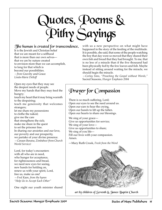# Quotes, Poems & Pithy Sayings

#### The human is created for transcendence.

It is the Jewish and Christian belief that we are meant for a selfhood that is more than our own selves that we are by nature created to envision more than we can accomplish, to long for that which is beyond our possibilities. *—from* Gravity and Grace *Linda-Marie Delloff*

with us a new perspective on what might have happened in the story of the feeding of the multitude. It is possible, she said, that some of the people watching the boy that day were so moved that they shared their own fish and bread that they had brought. To me, that is no less of a miracle than if the five thousand had been physically fed by the few loaves and fish. Maybe instead of sitting around waiting for the miracle, we should begin the miracle.

*—Corley Sims, "Preaching the Gospel without Words,"* Sacred Seasons, *Hunger Emphasis 2004*

Open my eyes that they may see the deepest needs of people. Move my hands that they may feed the hungry; touch my heart that it may bring warmth to the despairing; teach me generosity that welcomes strangers; let me share my possessions to clothe the naked; give me the care that strengthens the sick; make me share in the quest to set the prisoner free. In sharing our anxieties and our love, our poverty and our prosperity, we partake of your divine presence. *—Canaan Banana, Zimbabwe(from Church World Service)*

Lord, for today's encounters with all who are in need, who hunger for acceptance, for righteousness and bread, we need new eyes for seeing, new hands for holding on, renew us with your spirit, Lord, free us, make us one! *—Fred Kaan, from the hymn "Help Us to Accept Each Other"*

One night our youth minister shared

## Prayer for Compassion

There is so much suffering, Lord; Open our eyes to see the need around us. Open our ears to hear the crying, Open our hands to lift up the fallen. Open our hearts to share our blessings.

We sing of your grace— Give us opportunities for service; We sing of your love— Give us opportunities to share; We sing of you life— Fill our lives with your compassion. Amen.

—Mary Ruth Crook, *Fresh from the Word*



art by children of Seventh & James Baptist Church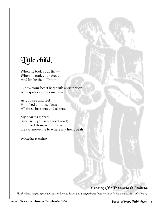## Little child,

When he took your fish— When he took your bread— And broke them I know

I know your heart beat with anticipation. Anticipation glazes my heart.

As you see and feel Him feed all those faces All those brothers and sisters.

My heart is glazed, Because if you saw (and I read) Him feed those who follow, He can move me to where my heart beats.

by Heather Herschap

art courtesy of the Franciscanos de Cruzblanca

-Heather Herschap is a poet who lives in Laredo, Texas. She is preparing to leave for India in May to work as a missionary.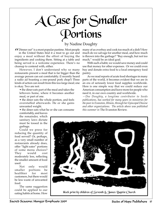# A Case for Smaller Portions

#### by Nadine Doughty

II Dinner out" is a most popular pastime. Most people

in the United States find it a treat to go out and enjoy a meal without the effort of buying the ingredients and cooking them. Sitting at a table and being served is a welcome experience. There's no cleanup to contend with, either.

However, I don't understand why so many restaurants present a meal that is far bigger than the average person can eat comfortably. (I recently heard a radio ad boasting a one-pound pork chop!) Three kinds of action can result from this too-large meal; one is okay. Two are not:

• the diner eats part of the meal and takes the leftovers home, where it becomes another meal, or part of one.

• the diner eats the whole portion, and feels overstuffed afterwards. He or she gains unwanted weight.

• the diner eats what he or she can consume

many of us overbuy and cook too much of a dish? How much do we salvage for another meal, and how much is thrown into the garbage? "Buy enough, but not too much," would be an ideal goal.

With such a habit, we would save money and could use that money for other expenses. Or we could even buy and donate extra food to a local emergency food pantry.

As we read reports of acute food shortages in many parts of the world, it becomes evident that we are in an era of seriously lower food supplies worldwide. Here is one simple way that we could reduce our American consumption and leave more for people who need it, in our own country and worldwide.

*—Dee Doughty, a longtime contributor to Seeds publications, has worked for many years in ministries for the poorin Evanston, Illinois, through her Episcopal Diocese and other organizations. The article above was published this summer in* The Evanston Review.

comfortably, and leaves the remainder, which sanitary laws dictate must be tossed in the garbage.

Could we press for reducing the quantity of food served? Or, perhaps, as a very small number of restaurants already does, offer "light eater" portions of some menu choices? They would cost moderately less, reflecting the smaller amount of food used.

Not only would smaller portions be healthier for most customers, but there would be less waste of unwanted food.

The same suggestion could be applied to our eating habits at home. How



block print by children of Seventh & James Baptist Church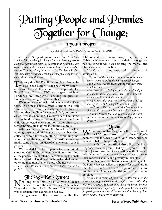# Putting People and Pennies Together for Change:

### a youth project by Kristina Harrold and Claire Jansen

*Editor's note: The youth group from a church in New London, NH, is asking for change, literally. Striving to raise awareness about the extent of poverty in their town, state, country and world, this youth group has chosen to make a change. They are calling this undertaking The Penny Project. Youth member Kristina Harrold wrotethefollowing account about the birth of this idea.*

This very day 20,227 children in New Hampshire<br>will go to bed hungry. That's how many suffer along with the rest of their family—from poverty. The First Baptist Church (FBC) youth group of New London, New Hampshire, is asking the question, "What are we going to do about this?"

We recently viewed an inspiring movie called *Paper Clips*. The film is about a middle school, in a little Tennessee town, that is studying the Holocaust. Hearing that 6 million Jews were killed, one student asked, "What is 6 million? I've never seen 6 million."

So the story goes on, telling the tale of how these children collected over 6 million paper clips, each representing a life that was lost in the Holocaust.

After seeing this movie, the New London FBC youth group started thinking of ways that they could collect a whole lot of something—something that would affect the community in a positive way. We finally came up with an idea of what we could collect: *pennies*.

We decided to collect a penny for every single suffering child in the state of New Hampshire. Once all the pennies are collected, we are planning to donate the money to local food pantries, homeless shelters and other organizations, to help those who need it.

*Editor's note: Below is Claire Jansen's follow-up on the project.*

### The No-Eat Retreat

 $\mathsf T$  ot long after this, the FBC youth locked themselves into the church for a 24-hour fast. They called it the "No-Eat Retreat." Their challenge was to abstain from eating for a full day.

Their goal was to reflect on poverty and the effect

it has on children who go hungry every day. By the 20th hour, it became apparent that their challenge was not resisting food; it was finding the mental and physical energy to function.

Here's what they reported to the church afterwards:

*• We learned that walking to a grocery store on an empty stomach makes the journey much longer and that most people in developing countries walk much further.*

*• We learned that living on \$1 a day food budget is almost impossible—and that 1 billion people struggle to live on that amount.*

*• We learned that poverty is more than a lack of money; it is a lack of opportunity and rights.*

*• We learned that there is no shortage of food in this world—just a malfunction of distribution.*

*• And we learned that our generation is the first to have the resources and technology to end poverty.*

 $T$ ithin six months of beginning the Penny Project, W ithin six months of beginning the Penny Project,<br>the FBC youth group had collected 60,000<br>months are for each shild in Nary Hampshire who pennies—one for each child in New Hampshire who lives at or below the poverty level.

All of the pennies filled three Flexible Flyer wagons, which the group—led by FBC youth director Cindy Johnson—rolled to a meeting with Governor John Lynch and several state representatives to discuss their concerns about child poverty in their state.

Since this time, FBC has set a new, higher goal for the Penny Project: collect one penny for each child in the United States who lives in poverty. They are inviting other American Baptist youth groups to get involved.

*—This article is reprinted from* Baptist Peacemaker, *the award-winning magazine of the Baptist Peace Fellowship of North America. To learn more about the Penny Project, go to www.penny-project.org. Thanks go to Cindy Johnson for passing along this inspiring story and to Seeds of Hope intern Claire Jansen for compiling it.*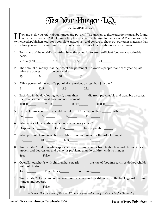| Jest Your Hunger T.Q.                                                                                                                                                                                                                                                                                                                                                                                                 |  |
|-----------------------------------------------------------------------------------------------------------------------------------------------------------------------------------------------------------------------------------------------------------------------------------------------------------------------------------------------------------------------------------------------------------------------|--|
| by Lauren Elder                                                                                                                                                                                                                                                                                                                                                                                                       |  |
| I Jow much do you know about hunger and poverty? The answers to these questions can all be found<br>In the <i>Sacred Seasons</i> 2009 Hunger Emphasis packet, so be sure to read closely! Visit our web site<br>(www.seedspublishers.org) for a complete answer list, and be sure to check out our other materials that<br>will allow you and your community to become more aware of the realities of extreme hunger. |  |
| 1. How many of the world's countries have the potential to grow sufficient food on a sustainable<br>basis?                                                                                                                                                                                                                                                                                                            |  |
| Virtually all $\frac{3}{4}$ $\frac{1}{2}$ $\frac{1}{2}$ $\frac{1}{4}$ $\frac{1}{4}$ $\frac{1}{4}$ $\frac{1}{4}$ $\frac{1}{4}$                                                                                                                                                                                                                                                                                         |  |
| The amount of money that the richest one percent of the world's people make each year equals<br>2.<br>what the poorest ______ percent make.                                                                                                                                                                                                                                                                           |  |
| $15$ 24 57 62                                                                                                                                                                                                                                                                                                                                                                                                         |  |
| What percent of the world's population survives on less than \$1 a day?<br>3.<br>5 12.5 19.3 23.4                                                                                                                                                                                                                                                                                                                     |  |
| Each day in the developing world, more than ______ die from preventable and treatable diseases,<br>4.<br>their bodies made weak from malnourishment.<br>$10,000$ 20,000 30,000 40,000                                                                                                                                                                                                                                 |  |
| In developing countries, 91 children out of 1000 die before their ______ birthday.<br>5.<br>2nd 5th 9th 9th 15th                                                                                                                                                                                                                                                                                                      |  |
| What is one of the leading causes of food security crises?<br>6.                                                                                                                                                                                                                                                                                                                                                      |  |
|                                                                                                                                                                                                                                                                                                                                                                                                                       |  |
| What percent of American households experience hunger or the risk of hunger?<br>7.                                                                                                                                                                                                                                                                                                                                    |  |
| 5.2 10.7 12.3 15.8                                                                                                                                                                                                                                                                                                                                                                                                    |  |
| True or false? Children who experience severe hunger suffer from higher levels of chronic illness,<br>8.<br>anxiety and depression, and behavior problems than do children with no hunger.                                                                                                                                                                                                                            |  |
|                                                                                                                                                                                                                                                                                                                                                                                                                       |  |
| Overall, households with children have nearly ______ the rate of food insecurity as do households<br>9.<br>without children.                                                                                                                                                                                                                                                                                          |  |
|                                                                                                                                                                                                                                                                                                                                                                                                                       |  |
| 10. True or false? One person or one community cannot make a difference in the fight against extreme<br>hunger and poverty.                                                                                                                                                                                                                                                                                           |  |
| -Lauren Elder, a native of Tucson, AZ, is a professional writing student at Baylor University                                                                                                                                                                                                                                                                                                                         |  |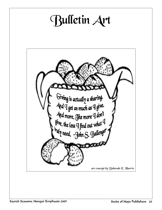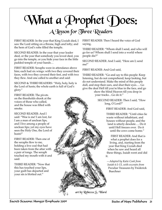# What a Prophet Does: A Lesson for Three Readers

FIRST READER: In the year that King Uzziah died, I saw the Lord sitting on a throne, high and lofty; and the hem of God's robe filled the temple.

SECOND READER: In the year that your leader died, or the year that somebody you loved died, you go into the temple, or you hide your face in the little padded temple of your hands…

FIRST READER: Seraphs were in attendance above him; each had six wings: with two they covered their faces, with two they covered their feet, and with two they flew. And one called to another and said:

SECOND & THIRD READERS: "Holy, holy, holy is the Lord of hosts; the whole earth is full of God's glory."

FIRST READER: The pivots on the thresholds shook at the voices of those who called, and the house was filled with smoke.

SECOND READER: And I said: "Woe is me! I am lost, for I am a man of unclean lips, and I live among a people of unclean lips; yet my eyes have seen the Holy One, the Lord of hosts!"

FIRST READER: Then one of the seraphs flew to me, holding a live coal that had been taken from the altar with a pair of tongs. The seraph touched my mouth with it and said:

THIRD READER: "Now that this has touched your lips, your guilt has departed and your sin is blotted out."

FIRST READER: Then I heard the voice of God saying,

THIRD READER: "Whom shall I send, and who will go for us? Whom shall I send into a world where people die?"

SECOND READER: And I said, "Here am I; send me!"

FIRST READER: And God said,

THIRD READER: "Go and say to this people: Keep listening, but do not comprehend; keep looking, but do not understand. Make the mind of this people dull, and stop their ears, and shut their eyes…. Go give the deaf Hell till you're blue in the face, and go

> show the blind Heaven till you drop in your tracks…Go do it."

SECOND READER: Then I said, "How long, O Lord?"

FIRST READER: And God said,

THIRD READER: "Until cities lie waste without inhabitant, and houses without people, and the land is utterly desolate…. Do it until Hell freezes over. Do it until the cows come home."

FIRST READER: And that is what a prophet does for a living, and, starting from the year that King Uzziah died when he saw and heard all these things, Isaiah went and did it.

*—Adapted by Katie Cook from Isaiah 6:1-13, with excerpts from* Peculiar Treasures by Frederick Buechner

art by Rebecca S. Ward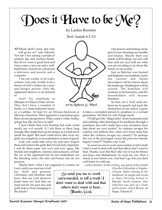# Does it Have to be Me?

by Larkin Rossiter Text: Isaiah 6:1-13

II Whom shall I send, and who will go for us?" asks Yahweh. Not me! I live among a people of unclean lips and unclean hands. But all we want is good food and clean water, a nice car and a wellbuilt house.And oh yes, a boat and a television and jewelry and a computer.

I am not worthy to be God's witness. I am only worthy to be a hearer of God's witness by a poor and hungry person. Only the oppressed deserve to be listened to.

God? Try somebody in Ethiopia or China or Haiti, not me. They don't have a roomful of books or a three-bedroom house

or a Cadillac. At least try an African-American or Mexican-American. Their oppressive experiences give them divine perspectives. What could a white, honky, gringo boy like me have to add?

I don't think that even burning hot coals could purify my evil mouth. If I left them in there long enough, they might burn up my tongue so I could never speak lies again. But such could never take away my guilt, my complicity in an exploitative system of greed.

God, you could take away my past sins, forgive them and remove the guilt. But I'm not truly repentant. I will do these same sins over and over again. My friends and neighbors, enemies and seducers, all hear the cry of the oppressed but do not understand; see the bleeding sores, the skin and bones, but do not perceive.

Maybe that's what I am supposed to witness to!

God, could you want me to tell my child and parents, Christians and Muslims and Jews, that our God deserves better from us? And that we must not let our past sins and guilt stop us from changing in the future?

So send you me to work unrewarded, to tell a truth  $\P$ don't want to deal with and that others don't want to hear. Thanks, God.

Our prayers and fasting can be part of your cleansing our mouths and bodies. Maybe then our minds will be sharp, our ears will hear and our eyes will see what you are revealing to us about the future of our society.

Just as Babylon was burned and Baghdad was bombed, surely our present and future skyscrapers will be strewn about the landscape; Washington will be wasted. The homeless will continue to be houseless, and the householders will become homeless.

So here am I, God, send me. Send me to preach and teach the destruction of our nation. I guess

it takes a corrupted person to prophesy to a corrupt generation. Not that we will change much.

I'll still give the "illegal alien" from Guatemala food and clothing, after listening to his problems through a translator, but will I really hear your revelation from him about my own society? As violence ravages his country and millions flee, what can I learn from him when the violence ravages my country? Or perhaps the war of the privileged versus the poor has already begun? Great?!? Thanks a lot, God!

So send you me to work unrewarded, to tell a truth I don't want to deal with and that others don't want to hear. Thanks, God. But that's the way it was for Moses and Jesus and Muhammed. So send me, too. Here I stand, in awe before you. And here I go, but you darn well better be with me.

*—Larkin Rossiter, at this writing, was pastor of the United*

*Churches Fellowship in Nogales, Arizona. Before moving to the Southwest, he taught and served at Shaw Divinity School in Raleigh, North Carolina. This reflection was part of a Seeds publication called* Roots of Hope, Volume II.